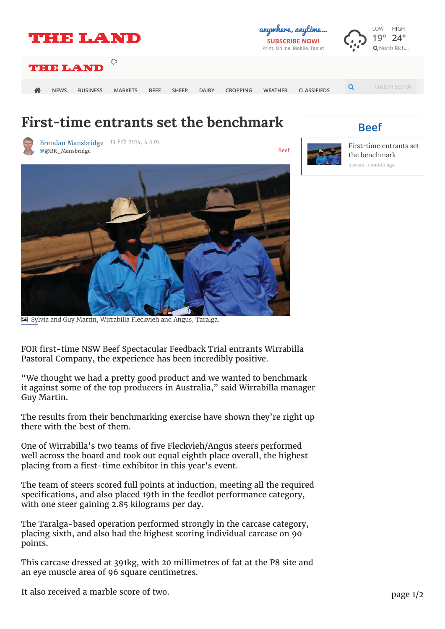

## **First-time entrants set the benchmark**

Brendan Mansbridge 13 Feb 2014, 4 a.m. **Mansbridge Beef** Beef



3 years, 1 month ago First-time entrants set the benchmark

**Beef**



\$ Sylvia and Guy Martin, Wirrabilla Fleckvieh and Angus, Taralga.

# FOR first-time NSW Beef Spectacular Feedback Trial entrants Wirrabilla Pastoral Company, the experience has been incredibly positive.

it against some of the top producers in Australia," said Wirrabilla manager<br>CureMentin Pastoral Company, the experience has been incredibly positive. "We thought we had a pretty good product and we wanted to benchmark Guy Martin.

The country continuous government and we wanted the wanted to be the wanted to be the many of the wanted to be the wanted to be the wanted to be the wanted to be the wanted to be the wanted to be the wanted to be the wante The results from their benchmarking exercise have shown they're right up

One of Wirrabilla's two teams of five Fleckvieh/Angus steers performed placing from a first-time exhibitor in this year's event. well across the board and took out equal eighth place overall, the highest

specifications, and also placed 19th in the feedlot performance category, with one steer gaining 2.85 kilograms per day. The team of steers scored full points at induction, meeting all the required

placing sixth, and also had the highest scoring individual carcase on 90  $\,$  $s_n = \frac{1}{2}$  and also placed 19th in the feedlot performance category, with  $\frac{1}{2}$  and  $\frac{1}{2}$  and  $\frac{1}{2}$  and  $\frac{1}{2}$  and  $\frac{1}{2}$  and  $\frac{1}{2}$  and  $\frac{1}{2}$  and  $\frac{1}{2}$  and  $\frac{1}{2}$  and  $\frac{1}{2}$  and  $\frac{1$ The Taralga-based operation performed strongly in the carcase category, points.

This carcase dressed at 391kg, with 20 millimetres of fat at the P8 site and an eye muscle area of 96 square centimetres.

It also received a marble score of two. **Example in the highest score of two**. page 1/2